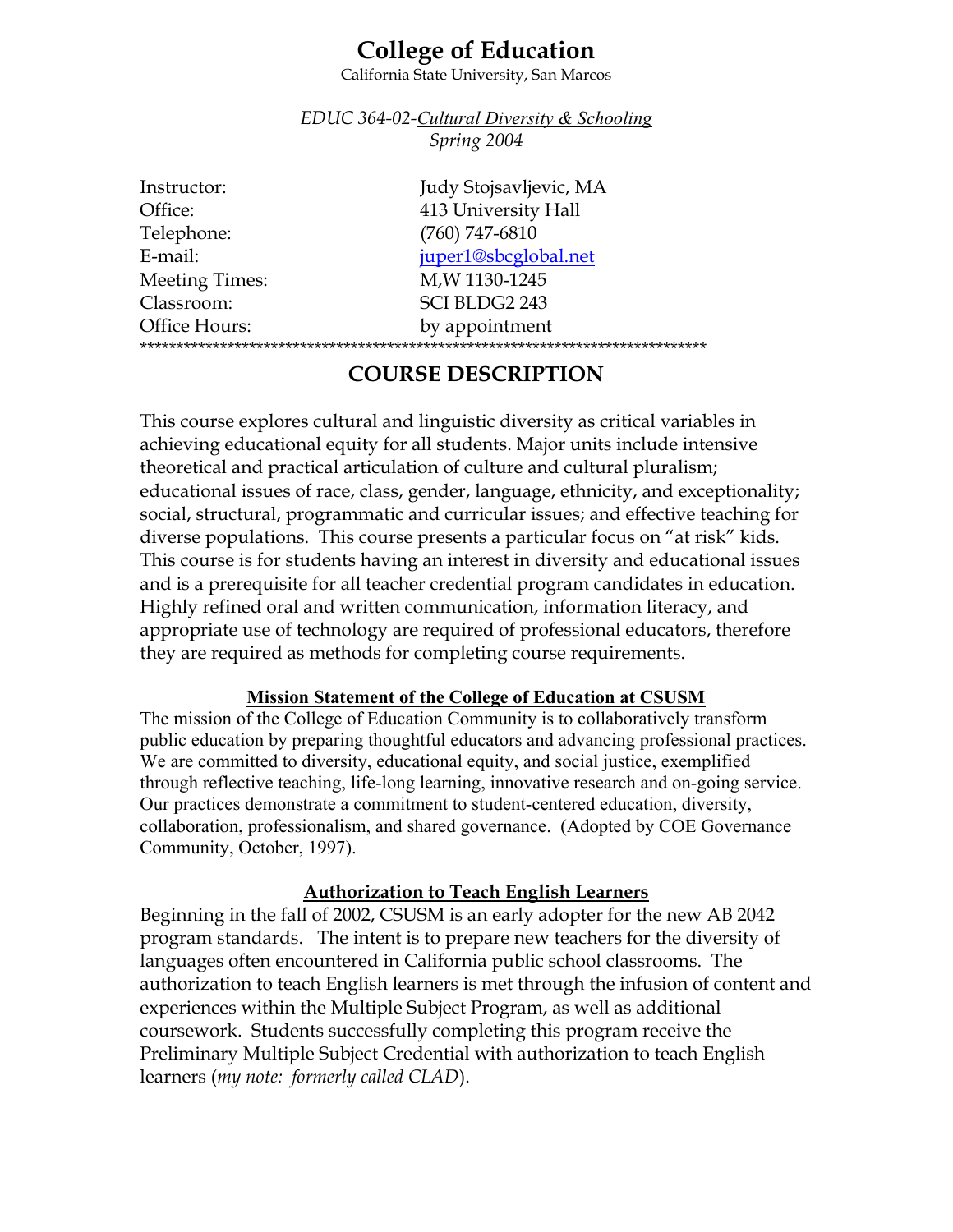# **College of Education**

California State University, San Marcos

*EDUC 364-02-Cultural Diversity & Schooling Spring 2004* 

| Instructor:           | Judy Stojsavljevic, MA |  |
|-----------------------|------------------------|--|
| Office:               | 413 University Hall    |  |
| Telephone:            | $(760)$ 747-6810       |  |
| E-mail:               | juper1@sbcglobal.net   |  |
| <b>Meeting Times:</b> | M, W 1130-1245         |  |
| Classroom:            | SCI BLDG2 243          |  |
| Office Hours:         | by appointment         |  |
|                       |                        |  |

# **COURSE DESCRIPTION**

This course explores cultural and linguistic diversity as critical variables in achieving educational equity for all students. Major units include intensive theoretical and practical articulation of culture and cultural pluralism; educational issues of race, class, gender, language, ethnicity, and exceptionality; social, structural, programmatic and curricular issues; and effective teaching for diverse populations. This course presents a particular focus on "at risk" kids. This course is for students having an interest in diversity and educational issues and is a prerequisite for all teacher credential program candidates in education. Highly refined oral and written communication, information literacy, and appropriate use of technology are required of professional educators, therefore they are required as methods for completing course requirements.

#### **Mission Statement of the College of Education at CSUSM**

The mission of the College of Education Community is to collaboratively transform public education by preparing thoughtful educators and advancing professional practices. We are committed to diversity, educational equity, and social justice, exemplified through reflective teaching, life-long learning, innovative research and on-going service. Our practices demonstrate a commitment to student-centered education, diversity, collaboration, professionalism, and shared governance. (Adopted by COE Governance Community, October, 1997).

#### **Authorization to Teach English Learners**

Beginning in the fall of 2002, CSUSM is an early adopter for the new AB 2042 program standards. The intent is to prepare new teachers for the diversity of languages often encountered in California public school classrooms. The authorization to teach English learners is met through the infusion of content and experiences within the Multiple Subject Program, as well as additional coursework. Students successfully completing this program receive the Preliminary Multiple Subject Credential with authorization to teach English learners (*my note: formerly called CLAD*).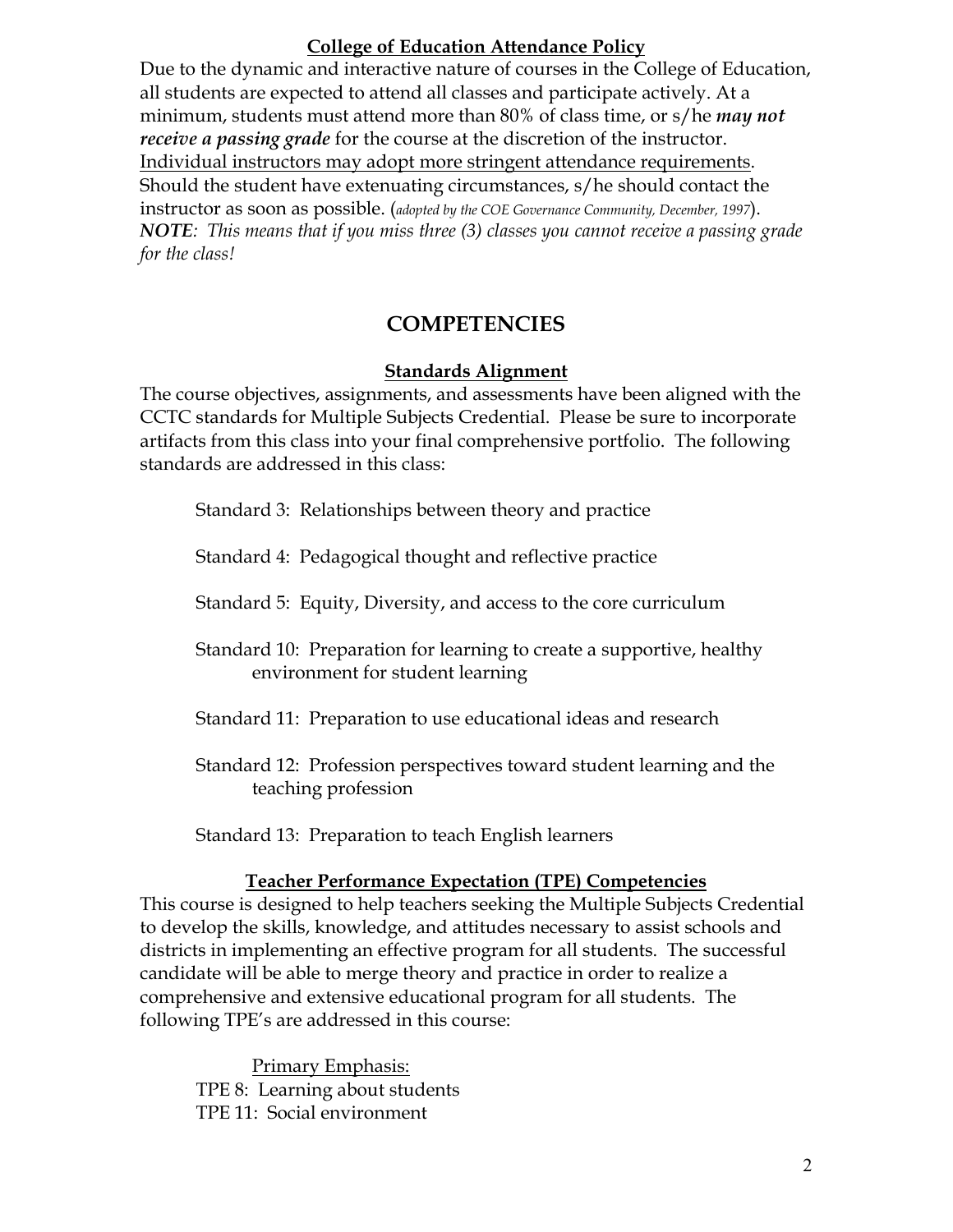### **College of Education Attendance Policy**

Due to the dynamic and interactive nature of courses in the College of Education, all students are expected to attend all classes and participate actively. At a minimum, students must attend more than 80% of class time, or s/he *may not receive a passing grade* for the course at the discretion of the instructor. Individual instructors may adopt more stringent attendance requirements. Should the student have extenuating circumstances, s/he should contact the instructor as soon as possible. (*adopted by the COE Governance Community, December, 1997*). *NOTE: This means that if you miss three (3) classes you cannot receive a passing grade for the class!*

## **COMPETENCIES**

### **Standards Alignment**

The course objectives, assignments, and assessments have been aligned with the CCTC standards for Multiple Subjects Credential. Please be sure to incorporate artifacts from this class into your final comprehensive portfolio. The following standards are addressed in this class:

Standard 3: Relationships between theory and practice

Standard 4: Pedagogical thought and reflective practice

Standard 5: Equity, Diversity, and access to the core curriculum

Standard 10: Preparation for learning to create a supportive, healthy environment for student learning

- Standard 11: Preparation to use educational ideas and research
- Standard 12: Profession perspectives toward student learning and the teaching profession

Standard 13: Preparation to teach English learners

### **Teacher Performance Expectation (TPE) Competencies**

This course is designed to help teachers seeking the Multiple Subjects Credential to develop the skills, knowledge, and attitudes necessary to assist schools and districts in implementing an effective program for all students. The successful candidate will be able to merge theory and practice in order to realize a comprehensive and extensive educational program for all students. The following TPE's are addressed in this course:

Primary Emphasis: TPE 8: Learning about students TPE 11: Social environment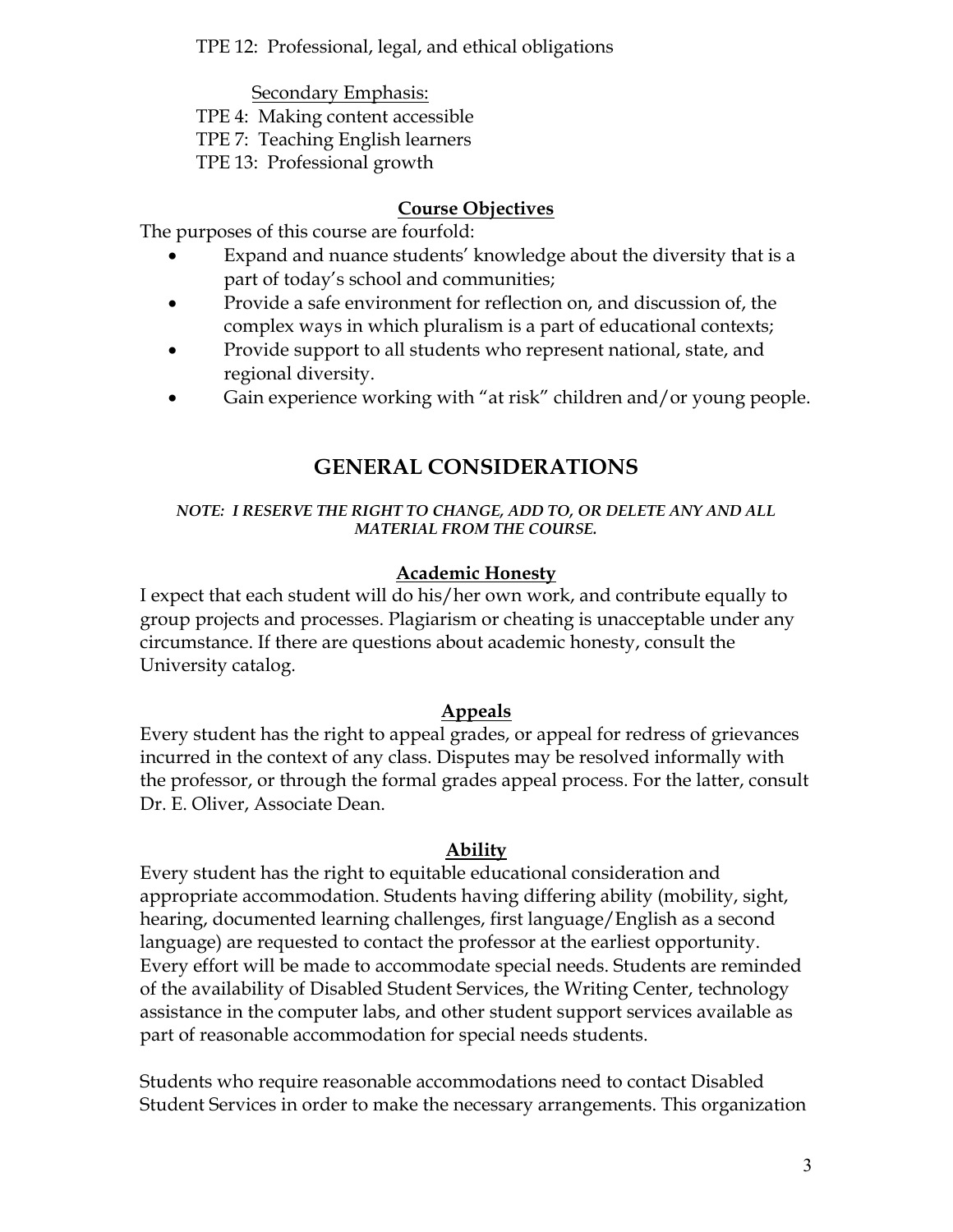TPE 12: Professional, legal, and ethical obligations

Secondary Emphasis:

TPE 4: Making content accessible

TPE 7: Teaching English learners

TPE 13: Professional growth

### **Course Objectives**

The purposes of this course are fourfold:

- Expand and nuance students' knowledge about the diversity that is a part of today's school and communities;
- Provide a safe environment for reflection on, and discussion of, the complex ways in which pluralism is a part of educational contexts;
- Provide support to all students who represent national, state, and regional diversity.
- Gain experience working with "at risk" children and/or young people.

# **GENERAL CONSIDERATIONS**

#### *NOTE: I RESERVE THE RIGHT TO CHANGE, ADD TO, OR DELETE ANY AND ALL MATERIAL FROM THE COURSE.*

### **Academic Honesty**

I expect that each student will do his/her own work, and contribute equally to group projects and processes. Plagiarism or cheating is unacceptable under any circumstance. If there are questions about academic honesty, consult the University catalog.

### **Appeals**

Every student has the right to appeal grades, or appeal for redress of grievances incurred in the context of any class. Disputes may be resolved informally with the professor, or through the formal grades appeal process. For the latter, consult Dr. E. Oliver, Associate Dean.

### **Ability**

Every student has the right to equitable educational consideration and appropriate accommodation. Students having differing ability (mobility, sight, hearing, documented learning challenges, first language/English as a second language) are requested to contact the professor at the earliest opportunity. Every effort will be made to accommodate special needs. Students are reminded of the availability of Disabled Student Services, the Writing Center, technology assistance in the computer labs, and other student support services available as part of reasonable accommodation for special needs students.

Students who require reasonable accommodations need to contact Disabled Student Services in order to make the necessary arrangements. This organization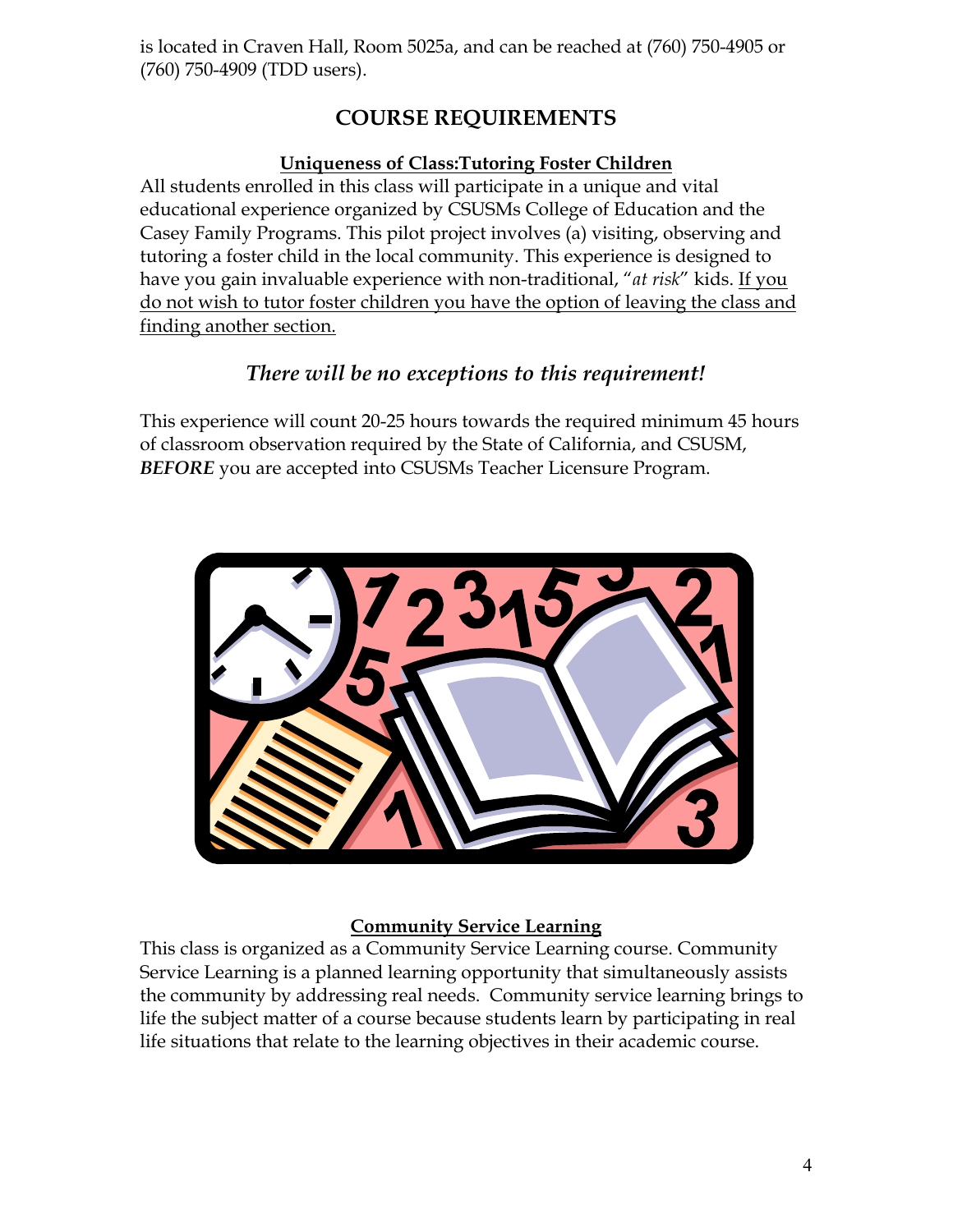is located in Craven Hall, Room 5025a, and can be reached at (760) 750-4905 or (760) 750-4909 (TDD users).

# **COURSE REQUIREMENTS**

### **Uniqueness of Class:Tutoring Foster Children**

All students enrolled in this class will participate in a unique and vital educational experience organized by CSUSMs College of Education and the Casey Family Programs. This pilot project involves (a) visiting, observing and tutoring a foster child in the local community. This experience is designed to have you gain invaluable experience with non-traditional, "*at risk*" kids. If you do not wish to tutor foster children you have the option of leaving the class and finding another section.

# *There will be no exceptions to this requirement!*

This experience will count 20-25 hours towards the required minimum 45 hours of classroom observation required by the State of California, and CSUSM, *BEFORE* you are accepted into CSUSMs Teacher Licensure Program.



### **Community Service Learning**

This class is organized as a Community Service Learning course. Community Service Learning is a planned learning opportunity that simultaneously assists the community by addressing real needs. Community service learning brings to life the subject matter of a course because students learn by participating in real life situations that relate to the learning objectives in their academic course.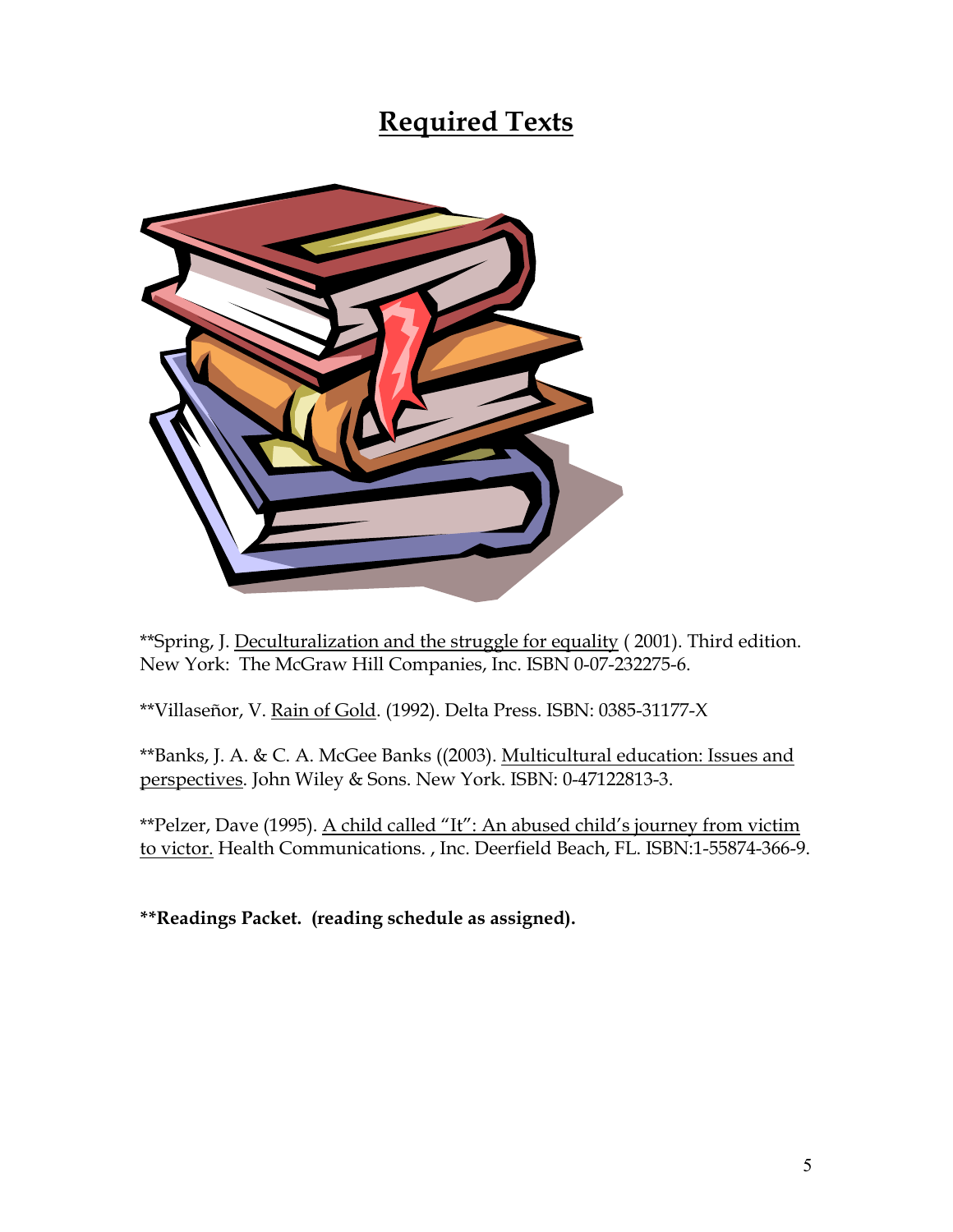# **Required Texts**



\*\*Spring, J. Deculturalization and the struggle for equality ( 2001). Third edition. New York: The McGraw Hill Companies, Inc. ISBN 0-07-232275-6.

\*\*Villaseñor, V. Rain of Gold. (1992). Delta Press. ISBN: 0385-31177-X

\*\*Banks, J. A. & C. A. McGee Banks ((2003). Multicultural education: Issues and perspectives. John Wiley & Sons. New York. ISBN: 0-47122813-3.

\*\*Pelzer, Dave (1995). A child called "It": An abused child's journey from victim to victor. Health Communications. , Inc. Deerfield Beach, FL. ISBN:1-55874-366-9.

**\*\*Readings Packet. (reading schedule as assigned).**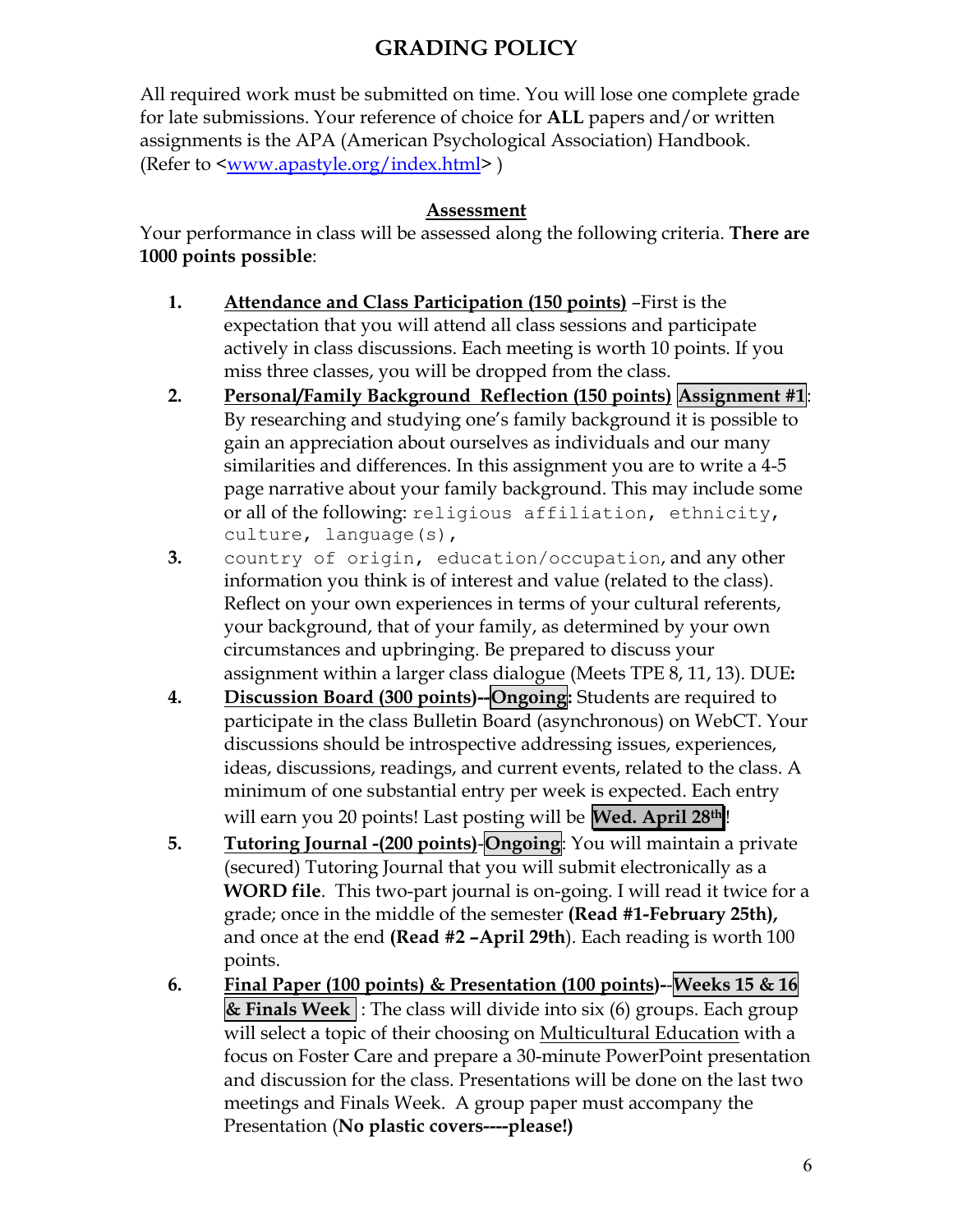# **GRADING POLICY**

All required work must be submitted on time. You will lose one complete grade for late submissions. Your reference of choice for **ALL** papers and/or written assignments is the APA (American Psychological Association) Handbook. (Refer to <www.apastyle.org/index.html> )

### **Assessment**

Your performance in class will be assessed along the following criteria. **There are 1000 points possible**:

- **1. Attendance and Class Participation (150 points)** –First is the expectation that you will attend all class sessions and participate actively in class discussions. Each meeting is worth 10 points. If you miss three classes, you will be dropped from the class.
- **2. Personal/Family Background Reflection (150 points) Assignment #1**: By researching and studying one's family background it is possible to gain an appreciation about ourselves as individuals and our many similarities and differences. In this assignment you are to write a 4-5 page narrative about your family background. This may include some or all of the following: religious affiliation, ethnicity, culture, language(s),
- **3.** country of origin, education/occupation, and any other information you think is of interest and value (related to the class). Reflect on your own experiences in terms of your cultural referents, your background, that of your family, as determined by your own circumstances and upbringing. Be prepared to discuss your assignment within a larger class dialogue (Meets TPE 8, 11, 13). DUE**:**
- **4. Discussion Board (300 points)--Ongoing:** Students are required to participate in the class Bulletin Board (asynchronous) on WebCT. Your discussions should be introspective addressing issues, experiences, ideas, discussions, readings, and current events, related to the class. A minimum of one substantial entry per week is expected. Each entry will earn you 20 points! Last posting will be **Wed. April 28th** !
- **5. Tutoring Journal -(200 points)**-**Ongoing**: You will maintain a private (secured) Tutoring Journal that you will submit electronically as a **WORD file**. This two-part journal is on-going. I will read it twice for a grade; once in the middle of the semester **(Read #1-February 25th),**  and once at the end **(Read #2 –April 29th**). Each reading is worth 100 points.
- **6. Final Paper (100 points) & Presentation (100 points)-**-**Weeks 15 & 16 & Finals Week** : The class will divide into six (6) groups. Each group will select a topic of their choosing on Multicultural Education with a focus on Foster Care and prepare a 30-minute PowerPoint presentation and discussion for the class. Presentations will be done on the last two meetings and Finals Week. A group paper must accompany the Presentation (**No plastic covers----please!)**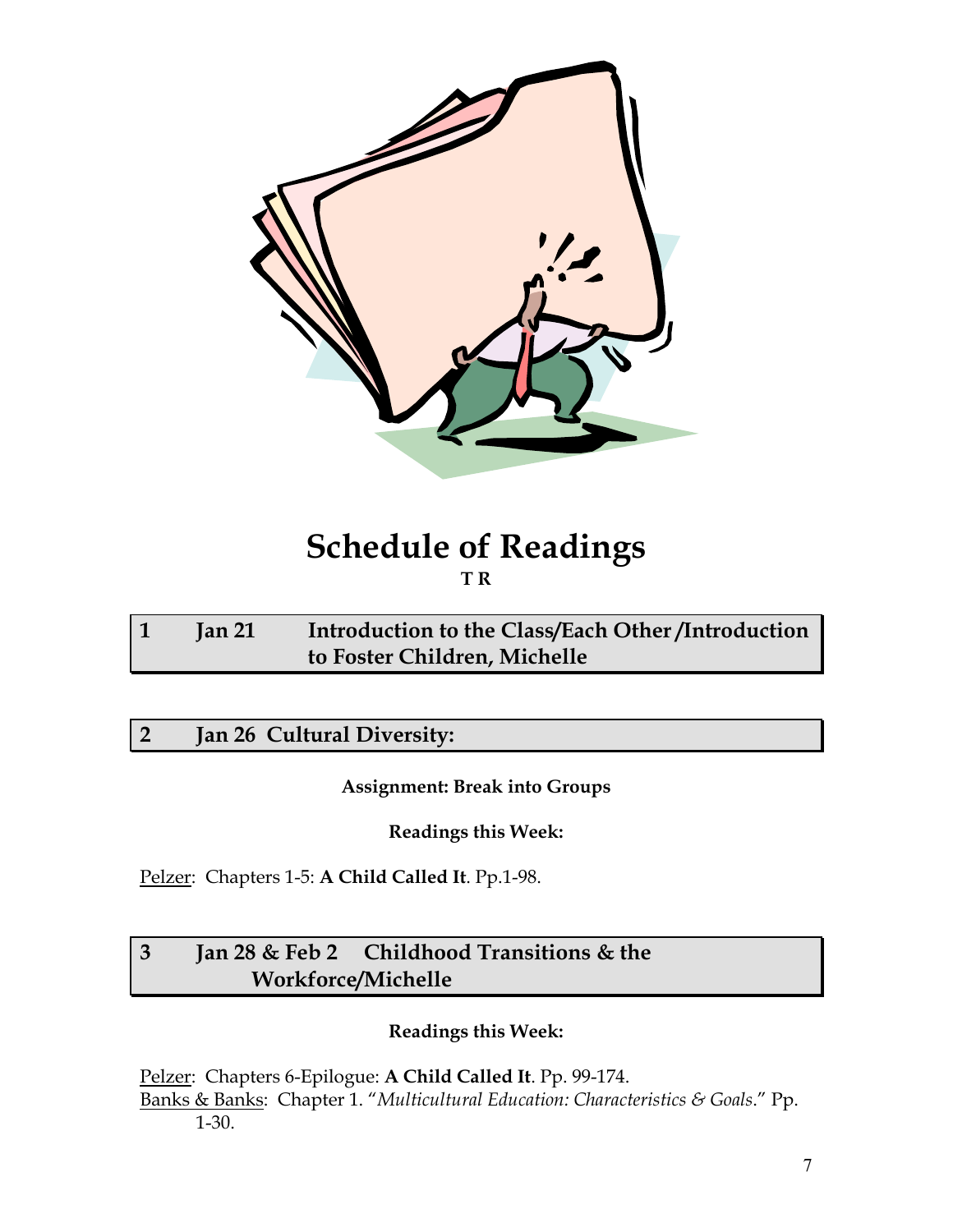

# **Schedule of Readings T R**

| Jan 21 | Introduction to the Class/Each Other/Introduction |  |
|--------|---------------------------------------------------|--|
|        | to Foster Children, Michelle                      |  |

# **2 Jan 26 Cultural Diversity:**

**Assignment: Break into Groups** 

**Readings this Week:** 

Pelzer: Chapters 1-5: **A Child Called It**. Pp.1-98.

# **3 Jan 28 & Feb 2 Childhood Transitions & the Workforce/Michelle**

### **Readings this Week:**

Pelzer: Chapters 6-Epilogue: **A Child Called It**. Pp. 99-174. Banks & Banks: Chapter 1. "*Multicultural Education: Characteristics & Goals*." Pp. 1-30.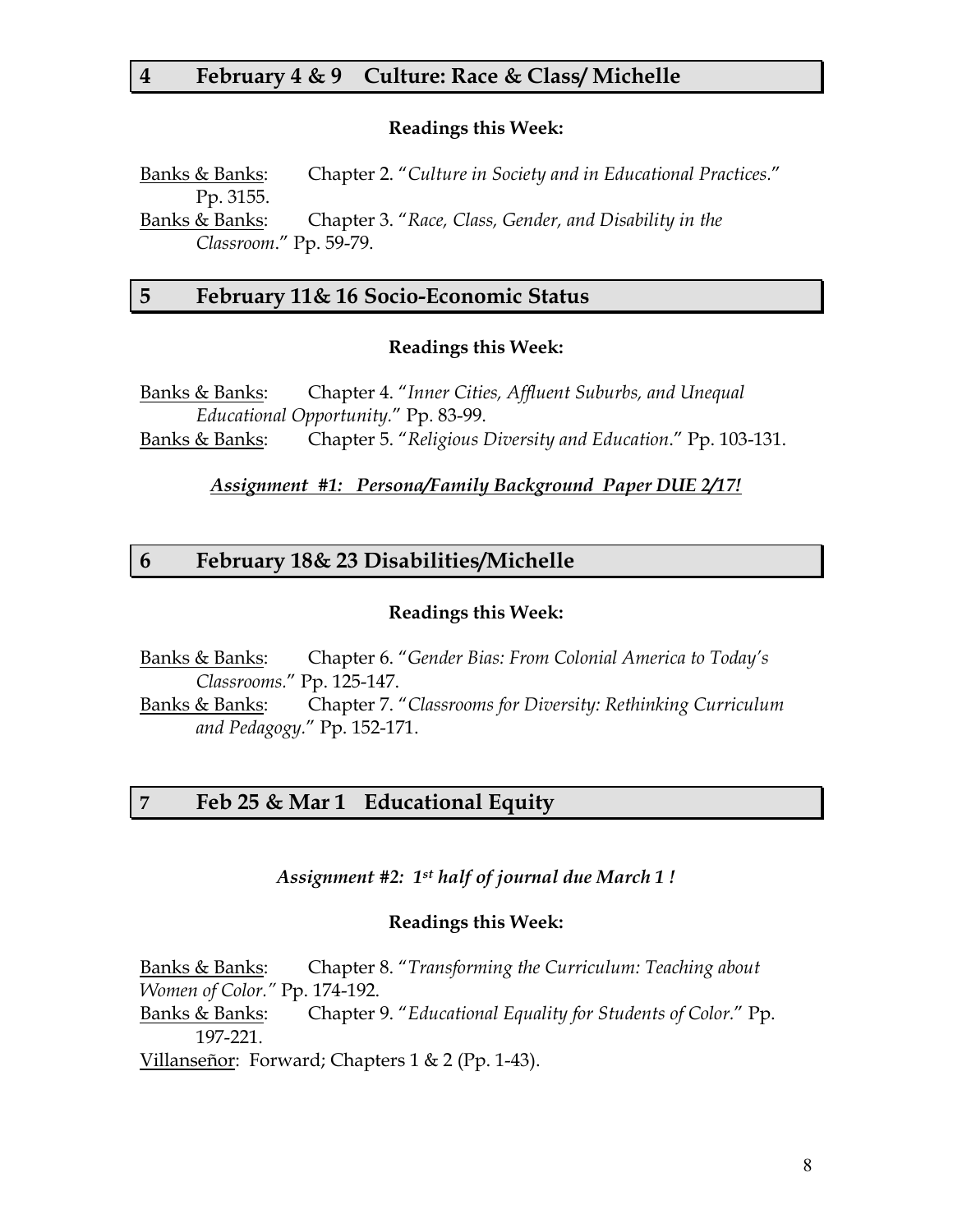### **4 February 4 & 9 Culture: Race & Class/ Michelle**

#### **Readings this Week:**

Banks & Banks: Chapter 2. "*Culture in Society and in Educational Practices.*" Pp. 3155. Banks & Banks: Chapter 3. "*Race, Class, Gender, and Disability in the Classroom*." Pp. 59-79.

# **5 February 11& 16 Socio-Economic Status**

#### **Readings this Week:**

Banks & Banks: Chapter 4. "*Inner Cities, Affluent Suburbs, and Unequal Educational Opportunity.*" Pp. 83-99. Banks & Banks: Chapter 5. "*Religious Diversity and Education*." Pp. 103-131.

*Assignment #1: Persona/Family Background Paper DUE 2/17!*

### **6 February 18& 23 Disabilities/Michelle**

#### **Readings this Week:**

Banks & Banks: Chapter 6. "*Gender Bias: From Colonial America to Today's Classrooms.*" Pp. 125-147.

Banks & Banks: Chapter 7. "*Classrooms for Diversity: Rethinking Curriculum and Pedagogy.*" Pp. 152-171.

#### **7 Feb 25 & Mar 1 Educational Equity**

*Assignment #2: 1st half of journal due March 1 !* 

#### **Readings this Week:**

Banks & Banks: Chapter 8. "*Transforming the Curriculum: Teaching about Women of Color."* Pp. 174-192. Banks & Banks: Chapter 9. "*Educational Equality for Students of Color.*" Pp. 197-221. Villanseñor: Forward; Chapters 1 & 2 (Pp. 1-43).

8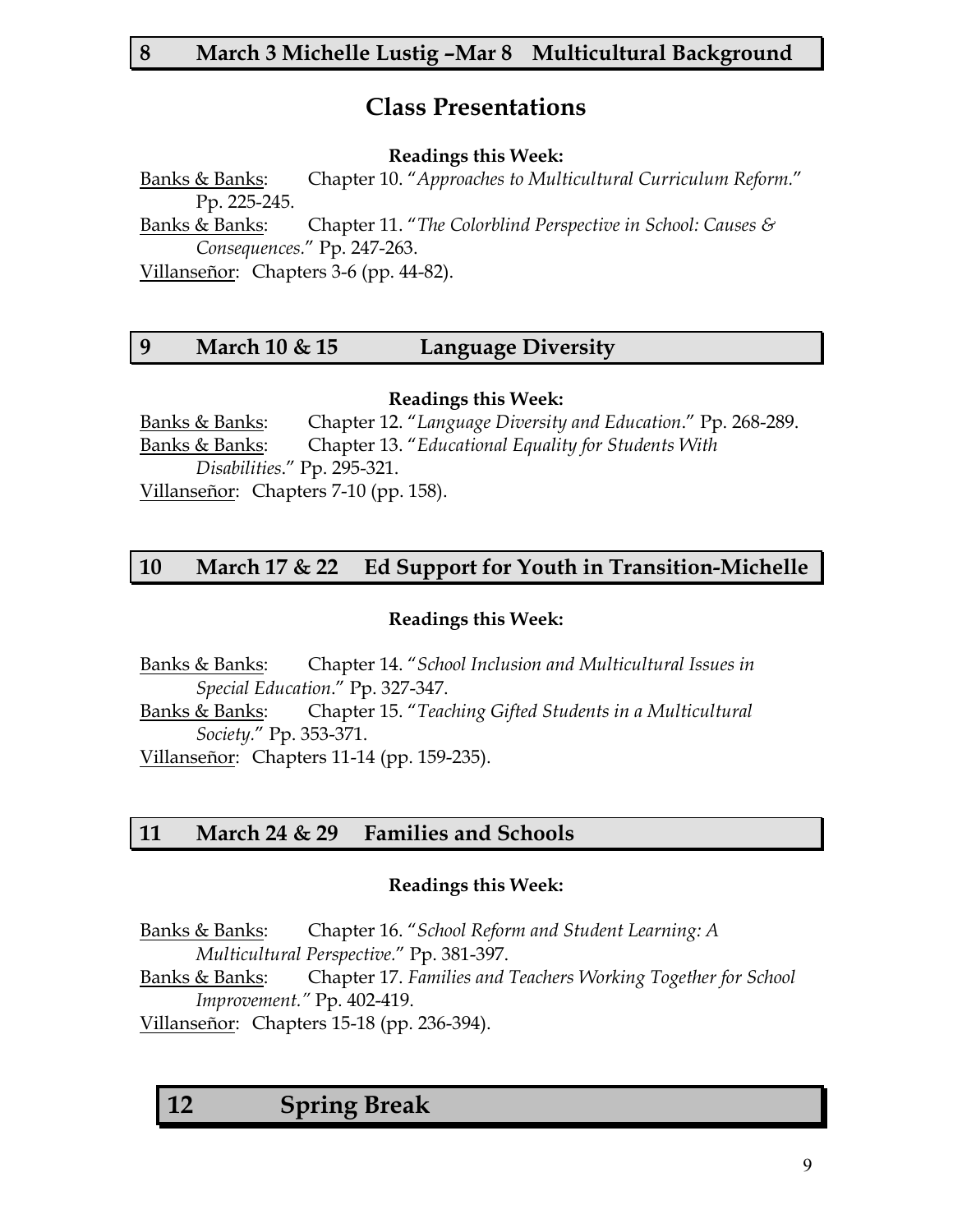# **Class Presentations**

#### **Readings this Week:**

Banks & Banks: Chapter 10. "*Approaches to Multicultural Curriculum Reform.*" Pp. 225-245.

Banks & Banks: Chapter 11. "*The Colorblind Perspective in School: Causes & Consequences.*" Pp. 247-263.

Villanseñor: Chapters 3-6 (pp. 44-82).

## **9 March 10 & 15 Language Diversity**

**Readings this Week:** 

Banks & Banks: Chapter 12. "*Language Diversity and Education*." Pp. 268-289. Banks & Banks: Chapter 13. "*Educational Equality for Students With Disabilities*." Pp. 295-321. Villanseñor: Chapters 7-10 (pp. 158).

## **10 March 17 & 22 Ed Support for Youth in Transition-Michelle**

### **Readings this Week:**

Banks & Banks: Chapter 14. "*School Inclusion and Multicultural Issues in Special Education*." Pp. 327-347. Banks & Banks: Chapter 15. "*Teaching Gifted Students in a Multicultural* 

*Society.*" Pp. 353-371.

Villanseñor: Chapters 11-14 (pp. 159-235).

### **11 March 24 & 29 Families and Schools**

### **Readings this Week:**

Banks & Banks: Chapter 16. "*School Reform and Student Learning: A Multicultural Perspective.*" Pp. 381-397.

Banks & Banks: Chapter 17. *Families and Teachers Working Together for School Improvement."* Pp. 402-419.

Villanseñor: Chapters 15-18 (pp. 236-394).

**12 Spring Break**